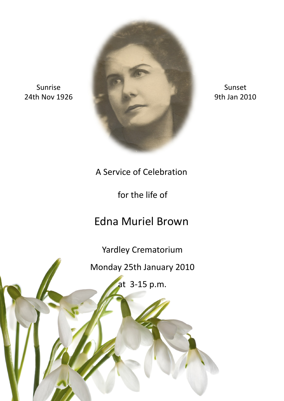

Sunrise 24th Nov 1926

Sunset 9th Jan 2010

# A Service of Celebration

## for the life of

# Edna Muriel Brown

## Yardley Crematorium

Monday 25th January 2010

at 3-15 p.m.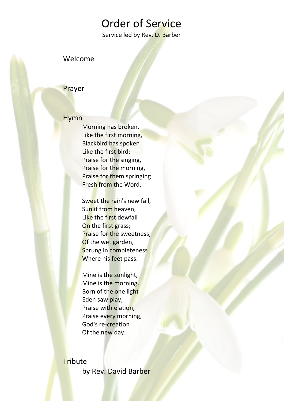# Order of Service

Service led by Rev. D. Barber

### Welcome

### Prayer

#### Hymn

Morning has broken, Like the first morning, Blackbird has spoken Like the first bird; Praise for the singing, Praise for the morning, Praise for them springing Fresh from the Word.

Sweet the rain's new fall, Sunlit from heaven, Like the first dewfall On the first grass; Praise for the sweetness, Of the wet garden, Sprung in completeness Where his feet pass.

Mine is the sunlight, Mine is the morning, Born of the one light Eden saw play; Praise with elation, Praise every morning, God's re-creation Of the new day.

## **Tribute** by Rev. David Barber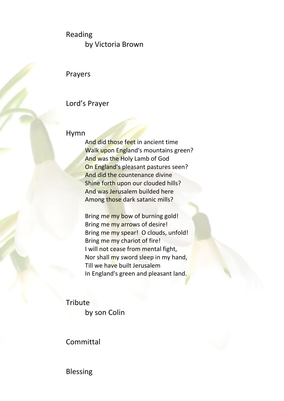Reading by Victoria Brown

Prayers

Lord's Prayer

#### Hymn

And did those feet in ancient time Walk upon England's mountains green? And was the Holy Lamb of God On England's pleasant pastures seen? And did the countenance divine Shine forth upon our clouded hills? And was Jerusalem builded here Among those dark satanic mills?

Bring me my bow of burning gold! Bring me my arrows of desire! Bring me my spear! O clouds, unfold! Bring me my chariot of fire! I will not cease from mental fight, Nor shall my sword sleep in my hand, Till we have built Jerusalem In England's green and pleasant land.

#### **Tribute**

by son Colin

**Committal** 

Blessing